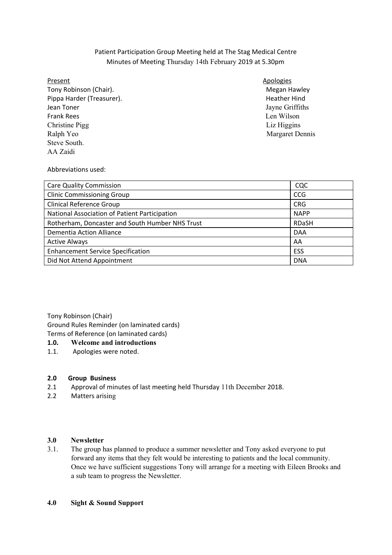# Patient Participation Group Meeting held at The Stag Medical Centre Minutes of Meeting Thursday 14th February 2019 at 5.30pm

### Present

Tony Robinson (Chair). Tony and the settlement of the Megan Hawley Pippa Harder (Treasurer). The same state of the extending of the Hindischild Heather Hindischer Hindischer Hind Jean Toner **Frank Rees** Christine Pigg Liz Higgins Ralph Yeo Steve South. AA Zaidi

## **Apologies**

Jayne Griffiths Len Wilson Margaret Dennis

## Abbreviations used:

| <b>Care Quality Commission</b>                  | CQC          |
|-------------------------------------------------|--------------|
| <b>Clinic Commissioning Group</b>               | <b>CCG</b>   |
| <b>Clinical Reference Group</b>                 | <b>CRG</b>   |
| National Association of Patient Participation   | <b>NAPP</b>  |
| Rotherham, Doncaster and South Humber NHS Trust | <b>RDaSH</b> |
| Dementia Action Alliance                        | <b>DAA</b>   |
| <b>Active Always</b>                            | AA           |
| <b>Enhancement Service Specification</b>        | ESS          |
| Did Not Attend Appointment                      | <b>DNA</b>   |

 Tony Robinson (Chair) Ground Rules Reminder (on laminated cards) Terms of Reference (on laminated cards)

### $1.0.$ **1.0. Welcome and introductions**

 $1.1.$ Apologies were noted.

#### **2.0 Group Business**

- 2.1 Approval of minutes of last meeting held Thursday 11th December 2018.
- 2.2 Matters arising

#### 3.0 **3.0 Newsletter**

 $3.1.$  forward any items that they felt would be interesting to patients and the local community. Once we have sufficient suggestions Tony will arrange for a meeting with Eileen Brooks and a sub team to progress the Newsletter. The group has planned to produce a summer newsletter and Tony asked everyone to put

#### **4.0 Sight & Sound Support**